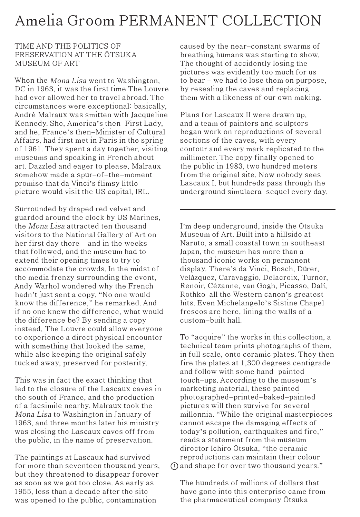## Amelia Groom PERMANENT COLLECTION

## TIME AND THE POLITICS OF PRESERVATION AT THE ŌTSUKA MUSEUM OF ART

When the Mona Lisa went to Washington, DC in 1963, it was the first time The Louvre had ever allowed her to travel abroad. The circumstances were exceptional: basically, André Malraux was smitten with Jacqueline Kennedy. She, America's then-First Lady, and he, France's then-Minister of Cultural Affairs, had first met in Paris in the spring of 1961. They spent a day together, visiting museums and speaking in French about art. Dazzled and eager to please, Malraux somehow made a spur-of-the-moment promise that da Vinci's flimsy little picture would visit the US capital, IRL.

Surrounded by draped red velvet and guarded around the clock by US Marines, the Mona Lisa attracted ten thousand visitors to the National Gallery of Art on her first day there - and in the weeks that followed, and the museum had to extend their opening times to try to accommodate the crowds. In the midst of the media frenzy surrounding the event, Andy Warhol wondered why the French hadn't just sent a copy. "No one would know the difference," he remarked. And if no one knew the difference, what would the difference be? By sending a copy instead, The Louvre could allow everyone to experience a direct physical encounter with something that looked the same, while also keeping the original safely tucked away, preserved for posterity.

This was in fact the exact thinking that led to the closure of the Lascaux caves in the south of France, and the production of a facsimile nearby. Malraux took the Mona Lisa to Washington in January of 1963, and three months later his ministry was closing the Lascaux caves off from the public, in the name of preservation.

The paintings at Lascaux had survived for more than seventeen thousand years, but they threatened to disappear forever as soon as we got too close. As early as 1955, less than a decade after the site was opened to the public, contamination

caused by the near-constant swarms of breathing humans was starting to show. The thought of accidently losing the pictures was evidently too much for us to bear - we had to lose them on purpose, by resealing the caves and replacing them with a likeness of our own making.

Plans for Lascaux II were drawn up, and a team of painters and sculptors began work on reproductions of several sections of the caves, with every contour and every mark replicated to the millimeter. The copy finally opened to the public in 1983, two hundred meters from the original site. Now nobody sees Lascaux I, but hundreds pass through the underground simulacra-sequel every day.

I'm deep underground, inside the Ōtsuka Museum of Art. Built into a hillside at Naruto, a small coastal town in southeast Japan, the museum has more than a thousand iconic works on permanent display. There's da Vinci, Bosch, Dürer, Velázquez, Caravaggio, Delacroix, Turner, Renoir, Cézanne, van Gogh, Picasso, Dalí, Rothko–all the Western canon's greatest hits. Even Michelangelo's Sistine Chapel frescos are here, lining the walls of a custom-built hall.

To "acquire" the works in this collection, a technical team prints photographs of them, in full scale, onto ceramic plates. They then fire the plates at 1,300 degrees centigrade and follow with some hand-painted touch-ups. According to the museum's marketing material, these paintedphotographed-printed-baked-painted pictures will then survive for several millennia. "While the original masterpieces cannot escape the damaging effects of today's pollution, earthquakes and fire," reads a statement from the museum director Ichiro Ōtsuka, "the ceramic reproductions can maintain their colour  $\mathbb D$  and shape for over two thousand years."

The hundreds of millions of dollars that have gone into this enterprise came from the pharmaceutical company Ōtsuka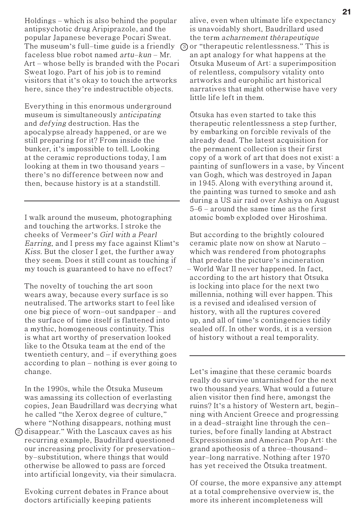Holdings – which is also behind the popular antipsychotic drug Aripiprazole, and the popular Japanese beverage Pocari Sweat. The museum's full–time guide is a friendly ③ or "therapeutic relentlessness." This is faceless blue robot named  $artu-kun-Mr$ . Art – whose belly is branded with the Pocari Sweat logo. Part of his job is to remind visitors that it's okay to touch the artworks here, since they're indestructible objects.

Everything in this enormous underground museum is simultaneously anticipating and defying destruction. Has the apocalypse already happened, or are we still preparing for it? From inside the bunker, it's impossible to tell. Looking at the ceramic reproductions today, I am looking at them in two thousand years there's no difference between now and then, because history is at a standstill.

I walk around the museum, photographing and touching the artworks. I stroke the cheeks of Vermeer's Girl with a Pearl Earring, and I press my face against Klimt's Kiss. But the closer I get, the further away they seem. Does it still count as touching if my touch is guaranteed to have no effect?

The novelty of touching the art soon wears away, because every surface is so neutralised. The artworks start to feel like one big piece of worn-out sandpaper - and the surface of time itself is flattened into a mythic, homogeneous continuity. This is what art worthy of preservation looked like to the Ōtsuka team at the end of the twentieth century, and - if everything goes according to plan - nothing is ever going to change.

In the 1990s, while the Ōtsuka Museum was amassing its collection of everlasting copies, Jean Baudrillard was decrying what he called "the Xerox degree of culture," where "Nothing disappears, nothing must  $\mathfrak D$  disappear." With the Lascaux caves as his recurring example, Baudrillard questioned our increasing proclivity for preservationby-substitution, where things that would otherwise be allowed to pass are forced into artificial longevity, via their simulacra.

Evoking current debates in France about doctors artificially keeping patients

alive, even when ultimate life expectancy is unavoidably short, Baudrillard used the term acharnement thérapeutique

an apt analogy for what happens at the Ōtsuka Museum of Art: a superimposition of relentless, compulsory vitality onto artworks and europhilic art historical narratives that might otherwise have very little life left in them.

Ōtsuka has even started to take this therapeutic relentlessness a step further, by embarking on forcible revivals of the already dead. The latest acquisition for the permanent collection is their first copy of a work of art that does not exist: a painting of sunflowers in a vase, by Vincent van Gogh, which was destroyed in Japan in 1945. Along with everything around it, the painting was turned to smoke and ash during a US air raid over Ashiya on August 5–6 - around the same time as the first atomic bomb exploded over Hiroshima.

But according to the brightly coloured ceramic plate now on show at Naruto which was rendered from photographs that predate the picture's incineration - World War II never happened. In fact, according to the art history that Ōtsuka is locking into place for the next two millennia, nothing will ever happen. This is a revised and idealised version of history, with all the ruptures covered up, and all of time's contingencies tidily sealed off. In other words, it is a version of history without a real temporality.

Let's imagine that these ceramic boards really do survive untarnished for the next two thousand years. What would a future alien visitor then find here, amongst the ruins? It's a history of Western art, beginning with Ancient Greece and progressing in a dead-straight line through the centuries, before finally landing at Abstract Expressionism and American Pop Art: the grand apotheosis of a three-thousandyear-long narrative. Nothing after 1970 has yet received the Ōtsuka treatment.

Of course, the more expansive any attempt at a total comprehensive overview is, the more its inherent incompleteness will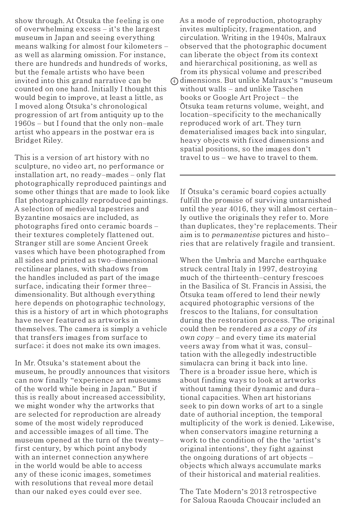show through. At Ōtsuka the feeling is one of overwhelming excess - it's the largest museum in Japan and seeing everything means walking for almost four kilometers as well as alarming omission. For instance, there are hundreds and hundreds of works, but the female artists who have been invited into this grand narrative can be counted on one hand. Initially I thought this would begin to improve, at least a little, as I moved along Ōtsuka's chronological progression of art from antiquity up to the 1960s - but I found that the only non-male artist who appears in the postwar era is Bridget Riley.

This is a version of art history with no sculpture, no video art, no performance or installation art, no ready-mades – only flat photographically reproduced paintings and some other things that are made to look like flat photographically reproduced paintings. A selection of medieval tapestries and Byzantine mosaics are included, as photographs fired onto ceramic boards – their textures completely flattened out. Stranger still are some Ancient Greek vases which have been photographed from all sides and printed as two-dimensional rectilinear planes, with shadows from the handles included as part of the image surface, indicating their former threedimensionality. But although everything here depends on photographic technology, this is a history of art in which photographs have never featured as artworks in themselves. The camera is simply a vehicle that transfers images from surface to surface; it does not make its own images.

In Mr. Ōtsuka's statement about the museum, he proudly announces that visitors can now finally "experience art museums of the world while being in Japan." But if this is really about increased accessibility, we might wonder why the artworks that are selected for reproduction are already some of the most widely reproduced and accessible images of all time. The museum opened at the turn of the twentyfirst century, by which point anybody with an internet connection anywhere in the world would be able to access any of these iconic images, sometimes with resolutions that reveal more detail than our naked eyes could ever see.

As a mode of reproduction, photography invites multiplicity, fragmentation, and circulation. Writing in the 1940s, Malraux observed that the photographic document can liberate the object from its context and hierarchical positioning, as well as from its physical volume and prescribed dimensions. But unlike Malraux's "museum 4without walls - and unlike Taschen books or Google Art Project – the Ōtsuka team returns volume, weight, and location-specificity to the mechanically reproduced work of art. They turn dematerialised images back into singular, heavy objects with fixed dimensions and spatial positions, so the images don't travel to us – we have to travel to them.

If Ōtsuka's ceramic board copies actually fulfill the promise of surviving untarnished until the year 4016, they will almost certainly outlive the originals they refer to. More than duplicates, they're replacements. Their aim is to permanentise pictures and histories that are relatively fragile and transient.

When the Umbria and Marche earthquake struck central Italy in 1997, destroying much of the thirteenth-century frescoes in the Basilica of St. Francis in Assisi, the Ōtsuka team offered to lend their newly acquired photographic versions of the frescos to the Italians, for consultation during the restoration process. The original could then be rendered as a copy of its own copy - and every time its material veers away from what it was, consultation with the allegedly indestructible simulacra can bring it back into line. There is a broader issue here, which is about finding ways to look at artworks without taming their dynamic and durational capacities. When art historians seek to pin down works of art to a single date of authorial inception, the temporal multiplicity of the work is denied. Likewise, when conservators imagine returning a work to the condition of the the 'artist's original intentions', they fight against the ongoing durations of art objects  $$ objects which always accumulate marks of their historical and material realities.

The Tate Modern's 2013 retrospective for Saloua Raouda Choucair included an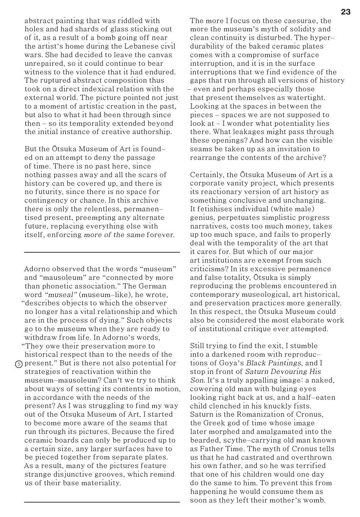abstract painting that was riddled with holes and had shards of glass sticking out of it, as a result of a bomb going off near the artist's home during the Lebanese civil wars. She had decided to leave the canvas unrepaired, so it could continue to bear witness to the violence that it had endured. The ruptured abstract composition thus took on a direct indexical relation with the external world. The picture pointed not just to a moment of artistic creation in the past, but also to what it had been through since then - so its temporality extended beyond the initial instance of creative authorship.

But the Ōtsuka Museum of Art is founded on an attempt to deny the passage of time. There is no past here, since nothing passes away and all the scars of history can be covered up, and there is no futurity, since there is no space for contingency or chance. In this archive there is only the relentless, permanentised present, preempting any alternate future, replacing everything else with itself, enforcing more of the same forever.

5 present." But is there not also potential for Adorno observed that the words "museum" and "mausoleum" are "connected by more than phonetic association." The German word "museal" (museum-like), he wrote, "describes objects to which the observer no longer has a vital relationship and which are in the process of dying." Such objects go to the museum when they are ready to withdraw from life. In Adorno's words, "They owe their preservation more to historical respect than to the needs of the strategies of reactivation within the museum-mausoleum? Can't we try to think about ways of setting its contents in motion, in accordance with the needs of the present? As I was struggling to find my way out of the Ōtsuka Museum of Art, I started to become more aware of the seams that run through its pictures. Because the fired ceramic boards can only be produced up to a certain size, any larger surfaces have to be pieced together from separate plates. As a result, many of the pictures feature strange disjunctive grooves, which remind us of their base materiality.

The more I focus on these caesurae, the more the museum's myth of solidity and clean continuity is disturbed. The hyperdurability of the baked ceramic plates comes with a compromise of surface interruption, and it is in the surface interruptions that we find evidence of the gaps that run through all versions of history - even and perhaps especially those that present themselves as watertight. Looking at the spaces in between the pieces - spaces we are not supposed to look at - I wonder what potentiality lies there. What leakages might pass through these openings? And how can the visible seams be taken up as an invitation to rearrange the contents of the archive?

Certainly, the Ōtsuka Museum of Art is a corporate vanity project, which presents its reactionary version of art history as something conclusive and unchanging. It fetishises individual (white male) genius, perpetuates simplistic progress narratives, costs too much money, takes up too much space, and fails to properly deal with the temporality of the art that it cares for. But which of our major art institutions are exempt from such criticisms? In its excessive permanence and false totality, Ōtsuka is simply reproducing the problems encountered in contemporary museological, art historical, and preservation practices more generally. In this respect, the Ōtsuka Museum could also be considered the most elaborate work of institutional critique ever attempted.

Still trying to find the exit, I stumble into a darkened room with reproductions of Goya's Black Paintings, and I stop in front of Saturn Devouring His Son. It's a truly appalling image: a naked, cowering old man with bulging eyes looking right back at us, and a half-eaten child clenched in his knuckly fists. Saturn is the Romanization of Cronus, the Greek god of time whose image later morphed and amalgamated into the bearded, scythe-carrying old man known as Father Time. The myth of Cronus tells us that he had castrated and overthrown his own father, and so he was terrified that one of his children would one day do the same to him. To prevent this from happening he would consume them as soon as they left their mother's womb.